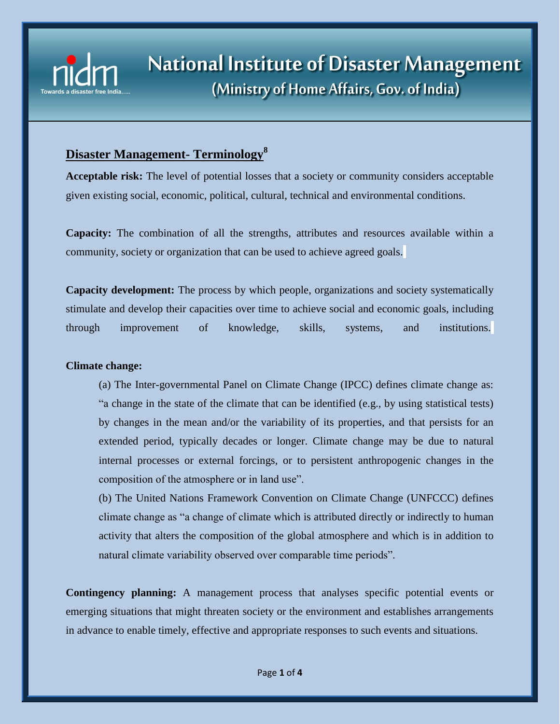

## **National Institute of Disaster Management** (Ministry of Home Affairs, Gov. of India)

## **Disaster Management- Terminology<sup>8</sup>**

**Acceptable risk:** The level of potential losses that a society or community considers acceptable given existing social, economic, political, cultural, technical and environmental conditions.

**Capacity:** The combination of all the strengths, attributes and resources available within a community, society or organization that can be used to achieve agreed goals.

**Capacity development:** The process by which people, organizations and society systematically stimulate and develop their capacities over time to achieve social and economic goals, including through improvement of knowledge, skills, systems, and institutions.

## **Climate change:**

(a) The Inter-governmental Panel on Climate Change (IPCC) defines climate change as: "a change in the state of the climate that can be identified (e.g., by using statistical tests) by changes in the mean and/or the variability of its properties, and that persists for an extended period, typically decades or longer. Climate change may be due to natural internal processes or external forcings, or to persistent anthropogenic changes in the composition of the atmosphere or in land use".

(b) The United Nations Framework Convention on Climate Change (UNFCCC) defines climate change as "a change of climate which is attributed directly or indirectly to human activity that alters the composition of the global atmosphere and which is in addition to natural climate variability observed over comparable time periods".

**Contingency planning:** A management process that analyses specific potential events or emerging situations that might threaten society or the environment and establishes arrangements in advance to enable timely, effective and appropriate responses to such events and situations.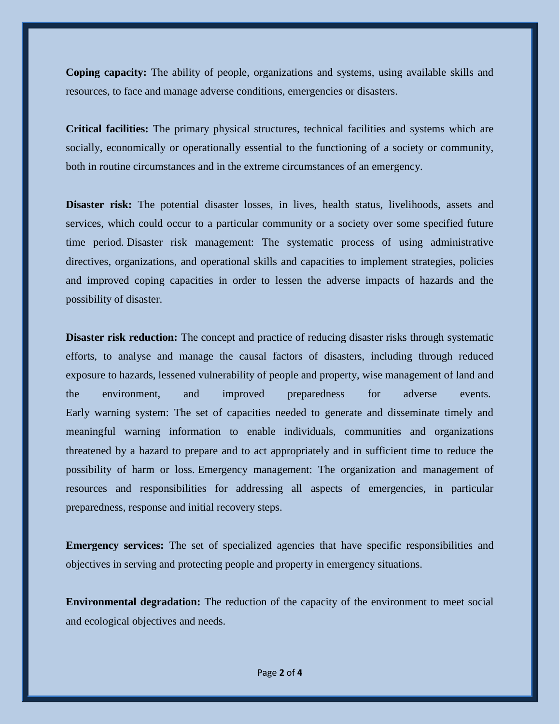**Coping capacity:** The ability of people, organizations and systems, using available skills and resources, to face and manage adverse conditions, emergencies or disasters.

**Critical facilities:** The primary physical structures, technical facilities and systems which are socially, economically or operationally essential to the functioning of a society or community, both in routine circumstances and in the extreme circumstances of an emergency.

**Disaster risk:** The potential disaster losses, in lives, health status, livelihoods, assets and services, which could occur to a particular community or a society over some specified future time period. Disaster risk management: The systematic process of using administrative directives, organizations, and operational skills and capacities to implement strategies, policies and improved coping capacities in order to lessen the adverse impacts of hazards and the possibility of disaster.

**Disaster risk reduction:** The concept and practice of reducing disaster risks through systematic efforts, to analyse and manage the causal factors of disasters, including through reduced exposure to hazards, lessened vulnerability of people and property, wise management of land and the environment, and improved preparedness for adverse events. Early warning system: The set of capacities needed to generate and disseminate timely and meaningful warning information to enable individuals, communities and organizations threatened by a hazard to prepare and to act appropriately and in sufficient time to reduce the possibility of harm or loss. Emergency management: The organization and management of resources and responsibilities for addressing all aspects of emergencies, in particular preparedness, response and initial recovery steps.

**Emergency services:** The set of specialized agencies that have specific responsibilities and objectives in serving and protecting people and property in emergency situations.

**Environmental degradation:** The reduction of the capacity of the environment to meet social and ecological objectives and needs.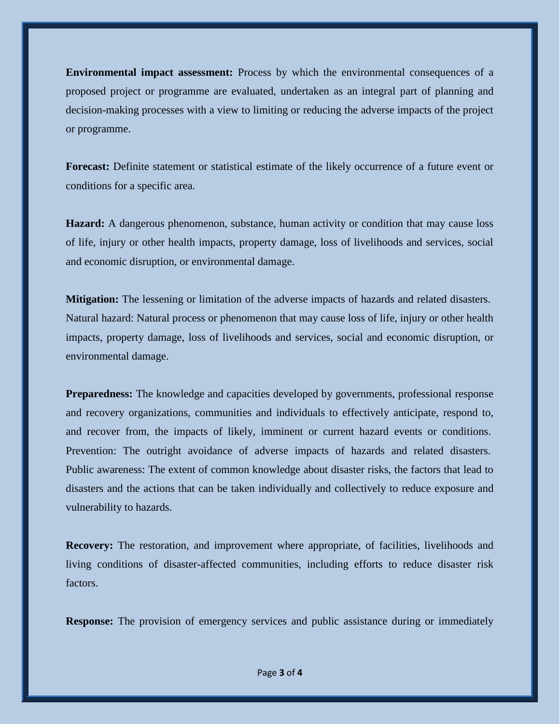**Environmental impact assessment:** Process by which the environmental consequences of a proposed project or programme are evaluated, undertaken as an integral part of planning and decision-making processes with a view to limiting or reducing the adverse impacts of the project or programme.

**Forecast:** Definite statement or statistical estimate of the likely occurrence of a future event or conditions for a specific area.

**Hazard:** A dangerous phenomenon, substance, human activity or condition that may cause loss of life, injury or other health impacts, property damage, loss of livelihoods and services, social and economic disruption, or environmental damage.

**Mitigation:** The lessening or limitation of the adverse impacts of hazards and related disasters. Natural hazard: Natural process or phenomenon that may cause loss of life, injury or other health impacts, property damage, loss of livelihoods and services, social and economic disruption, or environmental damage.

**Preparedness:** The knowledge and capacities developed by governments, professional response and recovery organizations, communities and individuals to effectively anticipate, respond to, and recover from, the impacts of likely, imminent or current hazard events or conditions. Prevention: The outright avoidance of adverse impacts of hazards and related disasters. Public awareness: The extent of common knowledge about disaster risks, the factors that lead to disasters and the actions that can be taken individually and collectively to reduce exposure and vulnerability to hazards.

**Recovery:** The restoration, and improvement where appropriate, of facilities, livelihoods and living conditions of disaster-affected communities, including efforts to reduce disaster risk factors.

**Response:** The provision of emergency services and public assistance during or immediately